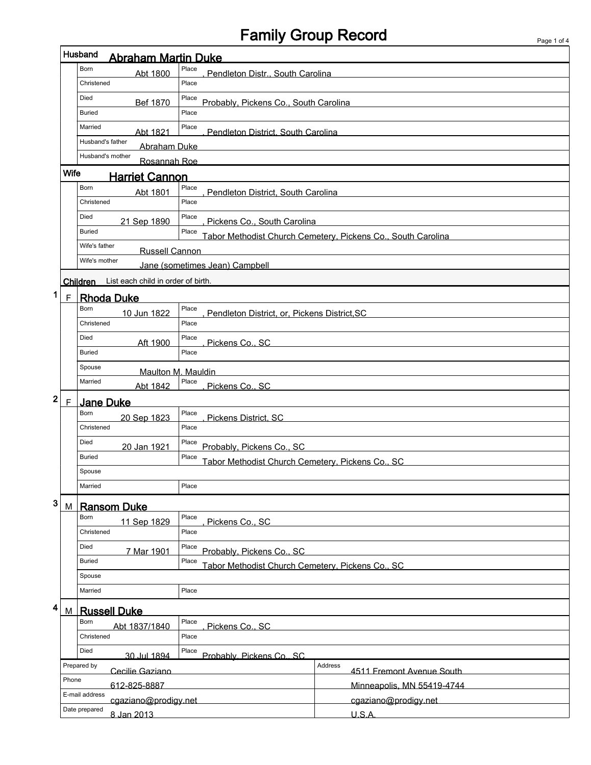# Family Group Record Page 1 of 4

|              | Husband<br><b>Abraham Martin Duke</b>                           |                                                                |                                                                       |                                       |  |  |  |  |
|--------------|-----------------------------------------------------------------|----------------------------------------------------------------|-----------------------------------------------------------------------|---------------------------------------|--|--|--|--|
|              |                                                                 | Born<br>Abt 1800                                               | Place                                                                 | Pendleton Distr., South Carolina      |  |  |  |  |
|              |                                                                 | Christened                                                     | Place                                                                 |                                       |  |  |  |  |
|              |                                                                 | Died<br>Bef 1870                                               | Place                                                                 | Probably, Pickens Co., South Carolina |  |  |  |  |
|              |                                                                 | <b>Buried</b>                                                  | Place                                                                 |                                       |  |  |  |  |
|              |                                                                 | Married<br>Abt 1821                                            | Place                                                                 | Pendleton District. South Carolina    |  |  |  |  |
|              |                                                                 | Husband's father<br>Abraham Duke                               |                                                                       |                                       |  |  |  |  |
|              |                                                                 | Husband's mother<br>Rosannah Roe                               |                                                                       |                                       |  |  |  |  |
|              | <b>Wife</b>                                                     | <b>Harriet Cannon</b>                                          |                                                                       |                                       |  |  |  |  |
|              | Born<br>Place<br>Abt 1801<br>Pendleton District, South Carolina |                                                                |                                                                       |                                       |  |  |  |  |
|              |                                                                 | Christened                                                     | Place                                                                 |                                       |  |  |  |  |
|              |                                                                 | Died<br>21 Sep 1890                                            | Place<br>Pickens Co., South Carolina                                  |                                       |  |  |  |  |
|              |                                                                 | <b>Buried</b>                                                  | Place<br>Tabor Methodist Church Cemetery, Pickens Co., South Carolina |                                       |  |  |  |  |
|              |                                                                 | Wife's father<br>Russell Cannon                                |                                                                       |                                       |  |  |  |  |
|              |                                                                 | Wife's mother                                                  | Jane (sometimes Jean) Campbell                                        |                                       |  |  |  |  |
|              |                                                                 | List each child in order of birth.<br><b>Children</b>          |                                                                       |                                       |  |  |  |  |
| 1            | $\mathsf{F}$                                                    | <b>Rhoda Duke</b>                                              |                                                                       |                                       |  |  |  |  |
|              |                                                                 | Born<br>10 Jun 1822                                            | Place<br>Pendleton District, or, Pickens District, SC                 |                                       |  |  |  |  |
|              |                                                                 | Christened                                                     | Place                                                                 |                                       |  |  |  |  |
|              |                                                                 | Died<br>Aft 1900                                               | Place<br>Pickens Co., SC                                              |                                       |  |  |  |  |
|              |                                                                 | <b>Buried</b>                                                  | Place                                                                 |                                       |  |  |  |  |
|              |                                                                 | Spouse<br>Maulton M. Mauldin                                   |                                                                       |                                       |  |  |  |  |
|              |                                                                 | Married<br>Abt 1842                                            | Place<br>Pickens Co., SC                                              |                                       |  |  |  |  |
| $\mathbf{2}$ | $\mathsf{F}$                                                    | <b>Jane Duke</b>                                               |                                                                       |                                       |  |  |  |  |
|              |                                                                 | Born<br>20 Sep 1823                                            | Place<br>Pickens District, SC                                         |                                       |  |  |  |  |
|              |                                                                 | Christened                                                     | Place                                                                 |                                       |  |  |  |  |
|              |                                                                 | Died<br>20 Jan 1921                                            | Place<br>Probably, Pickens Co., SC                                    |                                       |  |  |  |  |
|              |                                                                 | <b>Buried</b>                                                  | Place<br>Tabor Methodist Church Cemetery, Pickens Co., SC             |                                       |  |  |  |  |
| Spouse       |                                                                 |                                                                |                                                                       |                                       |  |  |  |  |
|              |                                                                 | Married                                                        | Place                                                                 |                                       |  |  |  |  |
| 3            | M                                                               | <b>Ransom Duke</b>                                             |                                                                       |                                       |  |  |  |  |
|              |                                                                 | Place<br>Born<br>11 Sep 1829<br>Pickens Co., SC                |                                                                       |                                       |  |  |  |  |
|              |                                                                 | Christened                                                     | Place                                                                 |                                       |  |  |  |  |
|              |                                                                 | Died<br>7 Mar 1901                                             | Place<br>Probably, Pickens Co., SC                                    |                                       |  |  |  |  |
|              |                                                                 | <b>Buried</b>                                                  | Place<br>Tabor Methodist Church Cemetery, Pickens Co., SC             |                                       |  |  |  |  |
|              |                                                                 | Spouse                                                         |                                                                       |                                       |  |  |  |  |
|              |                                                                 | Married                                                        | Place                                                                 |                                       |  |  |  |  |
| 4            | M                                                               | <b>Russell Duke</b>                                            |                                                                       |                                       |  |  |  |  |
|              |                                                                 | Born<br>Abt 1837/1840                                          | Place<br>Pickens Co., SC                                              |                                       |  |  |  |  |
|              |                                                                 | Christened                                                     | Place                                                                 |                                       |  |  |  |  |
|              |                                                                 | Died<br>30 Jul 1894                                            | Place<br>Probably, Pickens Co., SC                                    |                                       |  |  |  |  |
|              |                                                                 | Prepared by<br>Cecilie Gaziano                                 | Address<br>4511 Fremont Avenue South                                  |                                       |  |  |  |  |
|              | Phone                                                           | 612-825-8887                                                   |                                                                       | Minneapolis, MN 55419-4744            |  |  |  |  |
|              |                                                                 | E-mail address<br>cgaziano@prodigy.net<br>cgaziano@prodigy.net |                                                                       |                                       |  |  |  |  |
|              |                                                                 | Date prepared<br>8 Jan 2013                                    |                                                                       | $U.S.A$ .                             |  |  |  |  |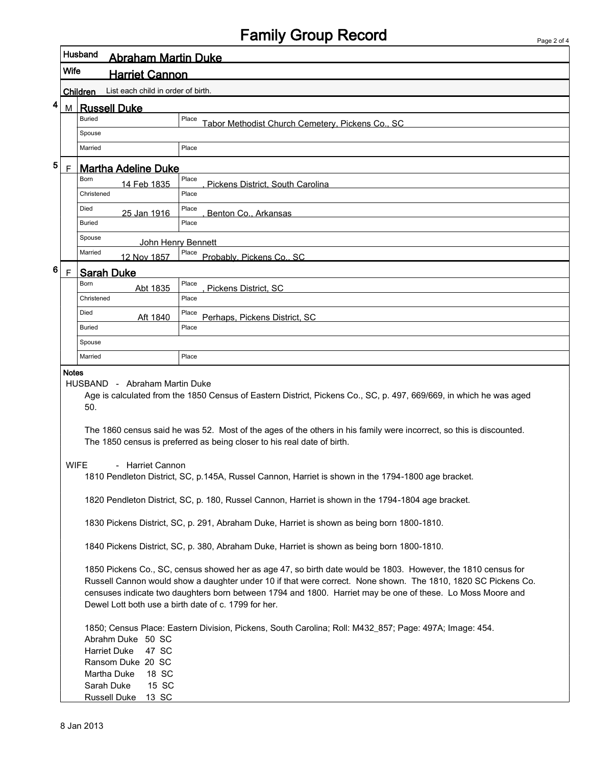## Family Group Record

|                             |      | Husband<br>Abraham Martin Duke                                                                                                                                                                                                                                                                                                                                                                                                                                                                                                                                             |                                                           |  |  |  |  |  |
|-----------------------------|------|----------------------------------------------------------------------------------------------------------------------------------------------------------------------------------------------------------------------------------------------------------------------------------------------------------------------------------------------------------------------------------------------------------------------------------------------------------------------------------------------------------------------------------------------------------------------------|-----------------------------------------------------------|--|--|--|--|--|
|                             | Wife | <b>Harriet Cannon</b>                                                                                                                                                                                                                                                                                                                                                                                                                                                                                                                                                      |                                                           |  |  |  |  |  |
|                             |      | List each child in order of birth.<br>Children                                                                                                                                                                                                                                                                                                                                                                                                                                                                                                                             |                                                           |  |  |  |  |  |
| 4                           | M    | <b>Russell Duke</b>                                                                                                                                                                                                                                                                                                                                                                                                                                                                                                                                                        |                                                           |  |  |  |  |  |
|                             |      | <b>Buried</b>                                                                                                                                                                                                                                                                                                                                                                                                                                                                                                                                                              | Place<br>Tabor Methodist Church Cemetery, Pickens Co., SC |  |  |  |  |  |
|                             |      | Spouse                                                                                                                                                                                                                                                                                                                                                                                                                                                                                                                                                                     |                                                           |  |  |  |  |  |
|                             |      | Married                                                                                                                                                                                                                                                                                                                                                                                                                                                                                                                                                                    | Place                                                     |  |  |  |  |  |
| 5                           | F    | <b>Martha Adeline Duke</b>                                                                                                                                                                                                                                                                                                                                                                                                                                                                                                                                                 |                                                           |  |  |  |  |  |
|                             |      | <b>Born</b><br>14 Feb 1835                                                                                                                                                                                                                                                                                                                                                                                                                                                                                                                                                 | Place<br>Pickens District, South Carolina                 |  |  |  |  |  |
|                             |      | Christened                                                                                                                                                                                                                                                                                                                                                                                                                                                                                                                                                                 | Place                                                     |  |  |  |  |  |
|                             |      | Died<br>25 Jan 1916                                                                                                                                                                                                                                                                                                                                                                                                                                                                                                                                                        | Place<br>Benton Co., Arkansas                             |  |  |  |  |  |
|                             |      | <b>Buried</b>                                                                                                                                                                                                                                                                                                                                                                                                                                                                                                                                                              | Place                                                     |  |  |  |  |  |
|                             |      | Spouse<br>John Henry Bennett                                                                                                                                                                                                                                                                                                                                                                                                                                                                                                                                               |                                                           |  |  |  |  |  |
|                             |      | Married<br>12 Nov 1857                                                                                                                                                                                                                                                                                                                                                                                                                                                                                                                                                     | Place<br>Probably, Pickens Co., SC                        |  |  |  |  |  |
| 6<br><b>Sarah Duke</b><br>F |      |                                                                                                                                                                                                                                                                                                                                                                                                                                                                                                                                                                            |                                                           |  |  |  |  |  |
|                             |      | <b>Born</b><br>Abt 1835                                                                                                                                                                                                                                                                                                                                                                                                                                                                                                                                                    | Place<br>Pickens District, SC                             |  |  |  |  |  |
|                             |      | Christened                                                                                                                                                                                                                                                                                                                                                                                                                                                                                                                                                                 | Place                                                     |  |  |  |  |  |
|                             |      | Died<br>Aft 1840                                                                                                                                                                                                                                                                                                                                                                                                                                                                                                                                                           | Place<br>Perhaps, Pickens District, SC                    |  |  |  |  |  |
|                             |      | <b>Buried</b>                                                                                                                                                                                                                                                                                                                                                                                                                                                                                                                                                              | Place                                                     |  |  |  |  |  |
|                             |      | Spouse                                                                                                                                                                                                                                                                                                                                                                                                                                                                                                                                                                     |                                                           |  |  |  |  |  |
|                             |      | Married                                                                                                                                                                                                                                                                                                                                                                                                                                                                                                                                                                    | Place                                                     |  |  |  |  |  |
|                             |      | Age is calculated from the 1850 Census of Eastern District, Pickens Co., SC, p. 497, 669/669, in which he was aged<br>50.<br>The 1860 census said he was 52. Most of the ages of the others in his family were incorrect, so this is discounted.<br>The 1850 census is preferred as being closer to his real date of birth.<br>- Harriet Cannon<br><b>WIFE</b><br>1810 Pendleton District, SC, p.145A, Russel Cannon, Harriet is shown in the 1794-1800 age bracket.<br>1820 Pendleton District, SC, p. 180, Russel Cannon, Harriet is shown in the 1794-1804 age bracket. |                                                           |  |  |  |  |  |
|                             |      | 1830 Pickens District, SC, p. 291, Abraham Duke, Harriet is shown as being born 1800-1810.<br>1840 Pickens District, SC, p. 380, Abraham Duke, Harriet is shown as being born 1800-1810.                                                                                                                                                                                                                                                                                                                                                                                   |                                                           |  |  |  |  |  |
|                             |      | 1850 Pickens Co., SC, census showed her as age 47, so birth date would be 1803. However, the 1810 census for<br>Russell Cannon would show a daughter under 10 if that were correct. None shown. The 1810, 1820 SC Pickens Co.<br>censuses indicate two daughters born between 1794 and 1800. Harriet may be one of these. Lo Moss Moore and<br>Dewel Lott both use a birth date of c. 1799 for her.<br>1850; Census Place: Eastern Division, Pickens, South Carolina; Roll: M432_857; Page: 497A; Image: 454.                                                              |                                                           |  |  |  |  |  |
|                             |      | Abrahm Duke 50 SC<br><b>Harriet Duke</b><br>47 SC<br>Ransom Duke 20 SC<br>Martha Duke<br>18 SC<br>15 SC<br>Sarah Duke<br>Russell Duke 13 SC                                                                                                                                                                                                                                                                                                                                                                                                                                |                                                           |  |  |  |  |  |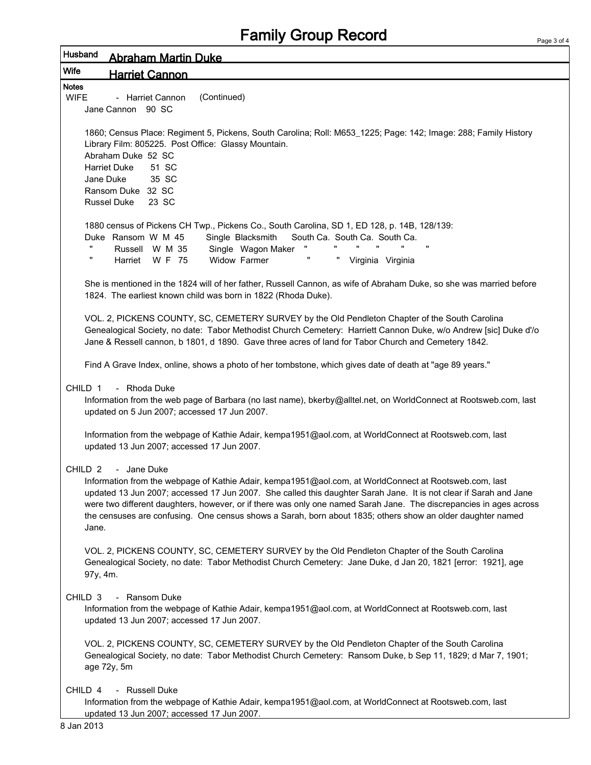| Page 3 of 4 |  |  |
|-------------|--|--|
|             |  |  |

| Husband<br>Abraham Martin Duke                                                                                                                                                                                                                                                                                                                                                                                                                                                                                |  |  |
|---------------------------------------------------------------------------------------------------------------------------------------------------------------------------------------------------------------------------------------------------------------------------------------------------------------------------------------------------------------------------------------------------------------------------------------------------------------------------------------------------------------|--|--|
| Wife<br><b>Harriet Cannon</b>                                                                                                                                                                                                                                                                                                                                                                                                                                                                                 |  |  |
| <b>Notes</b><br><b>WIFE</b><br>(Continued)<br>- Harriet Cannon<br>Jane Cannon 90 SC                                                                                                                                                                                                                                                                                                                                                                                                                           |  |  |
| 1860; Census Place: Regiment 5, Pickens, South Carolina; Roll: M653_1225; Page: 142; Image: 288; Family History<br>Library Film: 805225. Post Office: Glassy Mountain.<br>Abraham Duke 52 SC<br><b>Harriet Duke</b><br>51 SC<br>Jane Duke<br>35 SC<br>Ransom Duke 32 SC<br><b>Russel Duke</b><br>23 SC                                                                                                                                                                                                        |  |  |
| 1880 census of Pickens CH Twp., Pickens Co., South Carolina, SD 1, ED 128, p. 14B, 128/139:<br>Duke Ransom W M 45<br>Single Blacksmith<br>South Ca. South Ca. South Ca.<br>"<br>Russell W M 35<br>Single Wagon Maker<br>π<br>п<br>Harriet W F 75<br>Widow Farmer<br>" Virginia Virginia                                                                                                                                                                                                                       |  |  |
| She is mentioned in the 1824 will of her father, Russell Cannon, as wife of Abraham Duke, so she was married before<br>1824. The earliest known child was born in 1822 (Rhoda Duke).                                                                                                                                                                                                                                                                                                                          |  |  |
| VOL. 2, PICKENS COUNTY, SC, CEMETERY SURVEY by the Old Pendleton Chapter of the South Carolina<br>Genealogical Society, no date: Tabor Methodist Church Cemetery: Harriett Cannon Duke, w/o Andrew [sic] Duke d'/o<br>Jane & Ressell cannon, b 1801, d 1890. Gave three acres of land for Tabor Church and Cemetery 1842.                                                                                                                                                                                     |  |  |
| Find A Grave Index, online, shows a photo of her tombstone, which gives date of death at "age 89 years."                                                                                                                                                                                                                                                                                                                                                                                                      |  |  |
| CHILD 1<br>- Rhoda Duke<br>Information from the web page of Barbara (no last name), bkerby@alltel.net, on WorldConnect at Rootsweb.com, last<br>updated on 5 Jun 2007; accessed 17 Jun 2007.                                                                                                                                                                                                                                                                                                                  |  |  |
| Information from the webpage of Kathie Adair, kempa1951@aol.com, at WorldConnect at Rootsweb.com, last<br>updated 13 Jun 2007; accessed 17 Jun 2007.                                                                                                                                                                                                                                                                                                                                                          |  |  |
| CHILD <sub>2</sub><br>- Jane Duke<br>Information from the webpage of Kathie Adair, kempa1951@aol.com, at WorldConnect at Rootsweb.com, last<br>updated 13 Jun 2007; accessed 17 Jun 2007. She called this daughter Sarah Jane. It is not clear if Sarah and Jane<br>were two different daughters, however, or if there was only one named Sarah Jane. The discrepancies in ages across<br>the censuses are confusing. One census shows a Sarah, born about 1835; others show an older daughter named<br>Jane. |  |  |
| VOL. 2, PICKENS COUNTY, SC, CEMETERY SURVEY by the Old Pendleton Chapter of the South Carolina<br>Genealogical Society, no date: Tabor Methodist Church Cemetery: Jane Duke, d Jan 20, 1821 [error: 1921], age<br>97y, 4m.                                                                                                                                                                                                                                                                                    |  |  |
| - Ransom Duke<br>CHILD <sub>3</sub><br>Information from the webpage of Kathie Adair, kempa1951@aol.com, at WorldConnect at Rootsweb.com, last<br>updated 13 Jun 2007; accessed 17 Jun 2007.                                                                                                                                                                                                                                                                                                                   |  |  |
| VOL. 2, PICKENS COUNTY, SC, CEMETERY SURVEY by the Old Pendleton Chapter of the South Carolina<br>Genealogical Society, no date: Tabor Methodist Church Cemetery: Ransom Duke, b Sep 11, 1829; d Mar 7, 1901;<br>age 72y, 5m                                                                                                                                                                                                                                                                                  |  |  |
| - Russell Duke<br>CHILD 4<br>Information from the webpage of Kathie Adair, kempa1951@aol.com, at WorldConnect at Rootsweb.com, last<br>updated 13 Jun 2007; accessed 17 Jun 2007.                                                                                                                                                                                                                                                                                                                             |  |  |